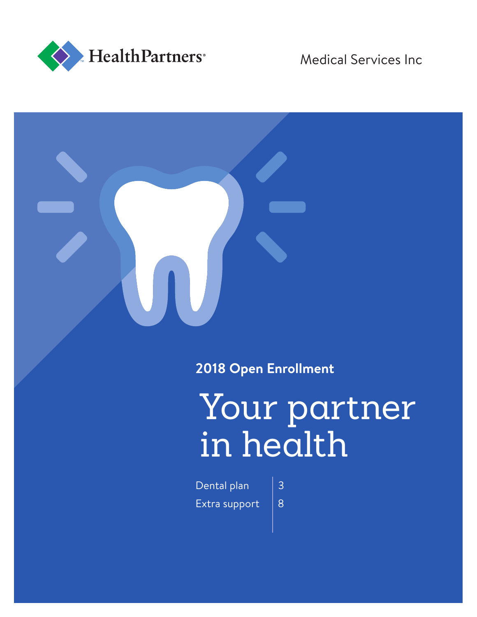

Medical Services Inc



**2018 Open Enrollment**

# Your partner in health

Dental plan  $\vert 3 \vert$ Extra support  $\begin{vmatrix} 8 \end{vmatrix}$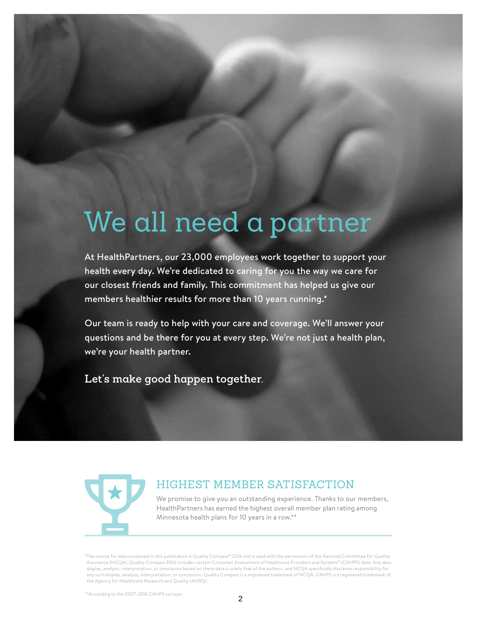## We all need a partner

At HealthPartners, our 23,000 employees work together to support your health every day. We're dedicated to caring for you the way we care for our closest friends and family. This commitment has helped us give our members healthier results for more than 10 years running.\*

Our team is ready to help with your care and coverage. We'll answer your questions and be there for you at every step. We're not just a health plan, we're your health partner.

**Let's make good happen together.**



### HIGHEST MEMBER SATISFACTION

We promise to give you an outstanding experience. Thanks to our members, HealthPartners has earned the highest overall member plan rating among Minnesota health plans for 10 years in a row.\*\*

\*\*According to the 2007-2016 CAHPS surveys.

<sup>\*</sup>The source for data contained in this publication is Quality Compass® 2016 and is used with the permission of the National Committee for Quality Assurance (NCQA). Quality Compass 2016 includes certain Consumer Assessment of Healthcare Providers and Systems® (CAHPS) data. Any data display, analysis, interpretation, or conclusion based on these data is solely that of the authors, and NCQA specifically disclaims responsibility for any such display, analysis, interpretation, or conclusion. Quality Compass is a registered trademark of NCQA. CAHPS is a registered trademark of the Agency for Healthcare Research and Quality (AHRQ).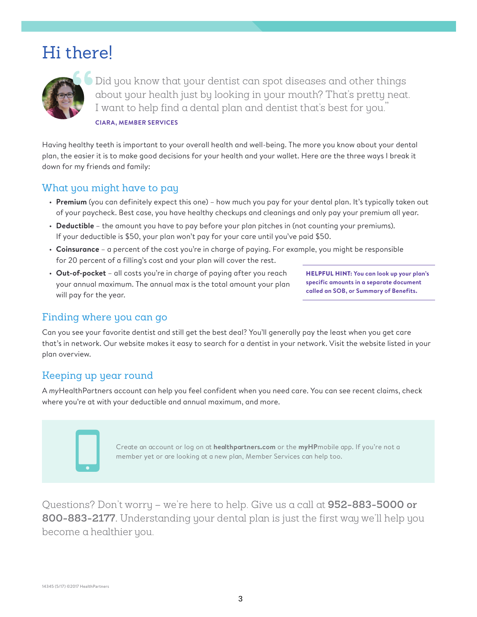### Hi there!



Did you know that your dentist can spot diseases and other things about your health just by looking in your mouth? That's pretty neat. I want to help find a dental plan and dentist that's best for you."

**CIARA, MEMBER SERVICES**

Having healthy teeth is important to your overall health and well-being. The more you know about your dental plan, the easier it is to make good decisions for your health and your wallet. Here are the three ways I break it down for my friends and family:

### What you might have to pay

- **Premium** (you can definitely expect this one) how much you pay for your dental plan. It's typically taken out of your paycheck. Best case, you have healthy checkups and cleanings and only pay your premium all year.
- **Deductible** the amount you have to pay before your plan pitches in (not counting your premiums). If your deductible is \$50, your plan won't pay for your care until you've paid \$50.
- **Coinsurance** a percent of the cost you're in charge of paying. For example, you might be responsible for 20 percent of a filling's cost and your plan will cover the rest.
- **Out-of-pocket** all costs you're in charge of paying after you reach your annual maximum. The annual max is the total amount your plan will pay for the year.

HELPFUL HINT: **You can look up your plan's specific amounts in a separate document called an SOB, or Summary of Benefits.**

### Finding where you can go

Can you see your favorite dentist and still get the best deal? You'll generally pay the least when you get care that's in network. Our website makes it easy to search for a dentist in your network. Visit the website listed in your plan overview.

### Keeping up year round

A *my*HealthPartners account can help you feel confident when you need care. You can see recent claims, check where you're at with your deductible and annual maximum, and more.

> Create an account or log on at **healthpartners.com** or the **myHP**mobile app. If you're not a member yet or are looking at a new plan, Member Services can help too.

Questions? Don't worry – we're here to help. Give us a call at **952-883-5000 or 800-883-2177.** Understanding your dental plan is just the first way we'll help you become a healthier you.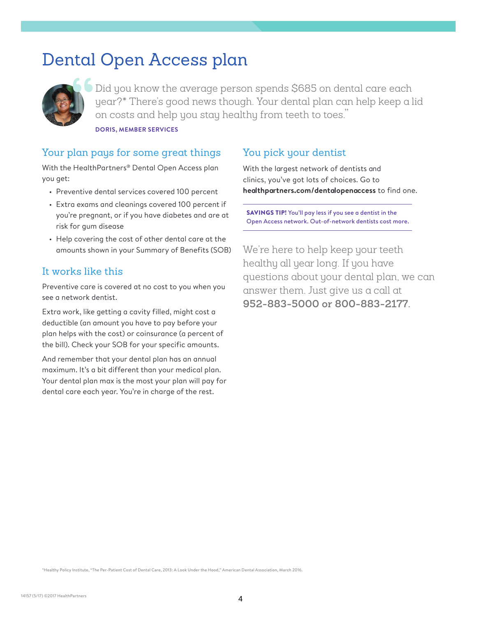### Dental Open Access plan



Did you know the average person spends \$685 on dental care each year?\* There's good news though. Your dental plan can help keep a lid on costs and help you stay healthy from teeth to toes."

**DORIS, MEMBER SERVICES**

### Your plan pays for some great things

With the HealthPartners® Dental Open Access plan you get:

- Preventive dental services covered 100 percent
- Extra exams and cleanings covered 100 percent if you're pregnant, or if you have diabetes and are at risk for gum disease
- Help covering the cost of other dental care at the amounts shown in your Summary of Benefits (SOB)

### It works like this

Preventive care is covered at no cost to you when you see a network dentist.

Extra work, like getting a cavity filled, might cost a deductible (an amount you have to pay before your plan helps with the cost) or coinsurance (a percent of the bill). Check your SOB for your specific amounts.

And remember that your dental plan has an annual maximum. It's a bit different than your medical plan. Your dental plan max is the most your plan will pay for dental care each year. You're in charge of the rest.

### You pick your dentist

With the largest network of dentists and clinics, you've got lots of choices. Go to **healthpartners.com/dentalopenaccess** to find one.

SAVINGS TIP! You'll pay less if you see a dentist in the Open Access network. Out-of-network dentists cost more.

We're here to help keep your teeth healthy all year long. If you have questions about your dental plan, we can answer them. Just give us a call at **952-883-5000 or 800-883-2177.**

\*Healthy Policy Institute, "The Per-Patient Cost of Dental Care, 2013: A Look Under the Hood," American Dental Association, March 2016.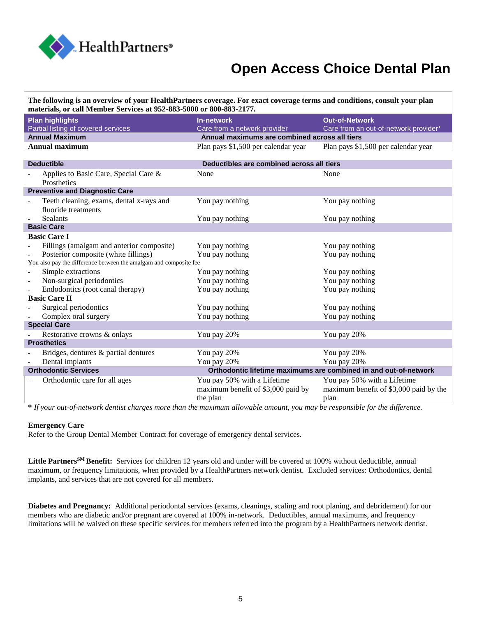

### **Open Access Choice Dental Plan**

**The following is an overview of your HealthPartners coverage. For exact coverage terms and conditions, consult your plan materials, or call Member Services at 952-883-5000 or 800-883-2177.**

| <b>Plan highlights</b><br>Partial listing of covered services                                   | <b>In-network</b><br>Care from a network provider                             | <b>Out-of-Network</b><br>Care from an out-of-network provider*                |
|-------------------------------------------------------------------------------------------------|-------------------------------------------------------------------------------|-------------------------------------------------------------------------------|
| <b>Annual Maximum</b><br>Annual maximums are combined across all tiers                          |                                                                               |                                                                               |
| <b>Annual maximum</b>                                                                           | Plan pays \$1,500 per calendar year                                           | Plan pays \$1,500 per calendar year                                           |
| Deductibles are combined across all tiers<br><b>Deductible</b>                                  |                                                                               |                                                                               |
| Applies to Basic Care, Special Care &<br>Prosthetics                                            | None                                                                          | None                                                                          |
| <b>Preventive and Diagnostic Care</b>                                                           |                                                                               |                                                                               |
| Teeth cleaning, exams, dental x-rays and<br>fluoride treatments                                 | You pay nothing                                                               | You pay nothing                                                               |
| <b>Sealants</b>                                                                                 | You pay nothing                                                               | You pay nothing                                                               |
| <b>Basic Care</b>                                                                               |                                                                               |                                                                               |
| <b>Basic Care I</b>                                                                             |                                                                               |                                                                               |
| Fillings (amalgam and anterior composite)                                                       | You pay nothing                                                               | You pay nothing                                                               |
| Posterior composite (white fillings)                                                            | You pay nothing                                                               | You pay nothing                                                               |
| You also pay the difference between the amalgam and composite fee                               |                                                                               |                                                                               |
| Simple extractions                                                                              | You pay nothing                                                               | You pay nothing                                                               |
| Non-surgical periodontics                                                                       | You pay nothing                                                               | You pay nothing                                                               |
| Endodontics (root canal therapy)                                                                | You pay nothing                                                               | You pay nothing                                                               |
| <b>Basic Care II</b>                                                                            |                                                                               |                                                                               |
| Surgical periodontics                                                                           | You pay nothing                                                               | You pay nothing                                                               |
| Complex oral surgery                                                                            | You pay nothing                                                               | You pay nothing                                                               |
| <b>Special Care</b>                                                                             |                                                                               |                                                                               |
| Restorative crowns & onlays                                                                     | You pay 20%                                                                   | You pay 20%                                                                   |
| <b>Prosthetics</b>                                                                              |                                                                               |                                                                               |
| Bridges, dentures & partial dentures                                                            | You pay 20%                                                                   | You pay 20%                                                                   |
| Dental implants                                                                                 | You pay 20%                                                                   | You pay 20%                                                                   |
| <b>Orthodontic Services</b><br>Orthodontic lifetime maximums are combined in and out-of-network |                                                                               |                                                                               |
| Orthodontic care for all ages                                                                   | You pay 50% with a Lifetime<br>maximum benefit of \$3,000 paid by<br>the plan | You pay 50% with a Lifetime<br>maximum benefit of \$3,000 paid by the<br>plan |

**\*** *If your out-of-network dentist charges more than the maximum allowable amount, you may be responsible for the difference.*

#### **Emergency Care**

Refer to the Group Dental Member Contract for coverage of emergency dental services.

**Little PartnersSM Benefit:** Services for children 12 years old and under will be covered at 100% without deductible, annual maximum, or frequency limitations, when provided by a HealthPartners network dentist. Excluded services: Orthodontics, dental implants, and services that are not covered for all members.

**Diabetes and Pregnancy:** Additional periodontal services (exams, cleanings, scaling and root planing, and debridement) for our members who are diabetic and/or pregnant are covered at 100% in-network. Deductibles, annual maximums, and frequency limitations will be waived on these specific services for members referred into the program by a HealthPartners network dentist.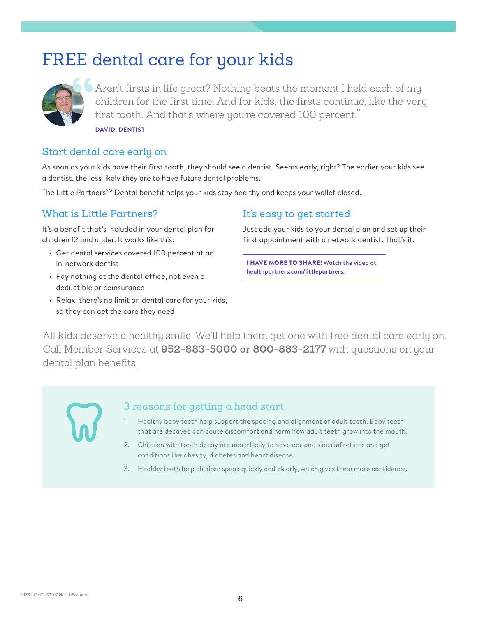### FREE dental care for your kids



Aren't firsts in life great? Nothing beats the moment I held each of my children for the first time. And for kids, the firsts continue, like the very first tooth. And that's where you're covered 100 percent." **DAVID, DENTIST**

### Start dental care early on

As soon as your kids have their first tooth, they should see a dentist. Seems early, right? The earlier your kids see a dentist, the less likely they are to have future dental problems.

The Little Partners<sup>SM</sup> Dental benefit helps your kids stay healthy and keeps your wallet closed.

### What is Little Partners?

It's a benefit that's included in your dental plan for children 12 and under. It works like this:

- Get dental services covered 100 percent at an in-network dentist
- Pay nothing at the dental office, not even a deductible or coinsurance
- Relax, there's no limit on dental care for your kids, so they can get the care they need

### It's easy to get started

Just add your kids to your dental plan and set up their first appointment with a network dentist. That's it.

**I HAVE MORE TO SHARE!** Watch the video at **healthpartners.com/littlepartners**.

All kids deserve a healthy smile. We'll help them get one with free dental care early on. Call Member Services at **952-883-5000 or 800-883-2177** with questions on your dental plan benefits.

### 3 reasons for getting a head start

- 1. Healthy baby teeth help support the spacing and alignment of adult teeth. Baby teeth that are decayed can cause discomfort and harm how adult teeth grow into the mouth.
- 2. Children with tooth decay are more likely to have ear and sinus infections and get conditions like obesity, diabetes and heart disease.
- 3. Healthy teeth help children speak quickly and clearly, which gives them more confidence.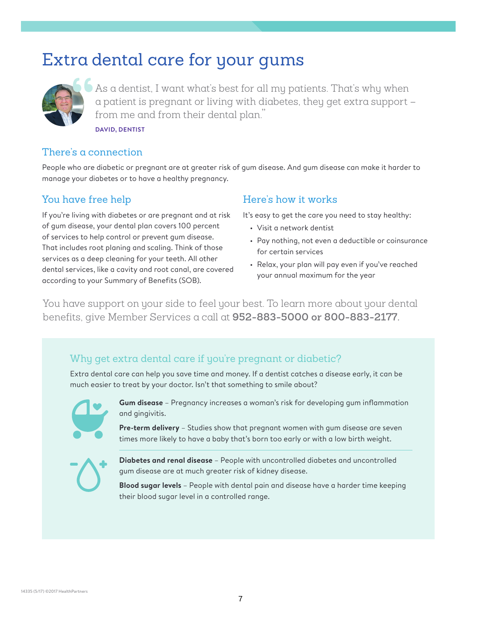### Extra dental care for your gums



As a dentist, I want what's best for all my patients. That's why when a patient is pregnant or living with diabetes, they get extra support – from me and from their dental plan."

**DAVID, DENTIST**

### There's a connection

People who are diabetic or pregnant are at greater risk of gum disease. And gum disease can make it harder to manage your diabetes or to have a healthy pregnancy.

### You have free help

If you're living with diabetes or are pregnant and at risk of gum disease, your dental plan covers 100 percent of services to help control or prevent gum disease. That includes root planing and scaling. Think of those services as a deep cleaning for your teeth. All other dental services, like a cavity and root canal, are covered according to your Summary of Benefits (SOB).

### Here's how it works

It's easy to get the care you need to stay healthy:

- Visit a network dentist
- Pay nothing, not even a deductible or coinsurance for certain services
- Relax, your plan will pay even if you've reached your annual maximum for the year

You have support on your side to feel your best. To learn more about your dental benefits, give Member Services a call at **952-883-5000 or 800-883-2177.**

### Why get extra dental care if you're pregnant or diabetic?

Extra dental care can help you save time and money. If a dentist catches a disease early, it can be much easier to treat by your doctor. Isn't that something to smile about?



**Gum disease** – Pregnancy increases a woman's risk for developing gum inflammation and gingivitis.

**Pre-term delivery** – Studies show that pregnant women with gum disease are seven times more likely to have a baby that's born too early or with a low birth weight.



**Diabetes and renal disease** – People with uncontrolled diabetes and uncontrolled gum disease are at much greater risk of kidney disease.

**Blood sugar levels** – People with dental pain and disease have a harder time keeping their blood sugar level in a controlled range.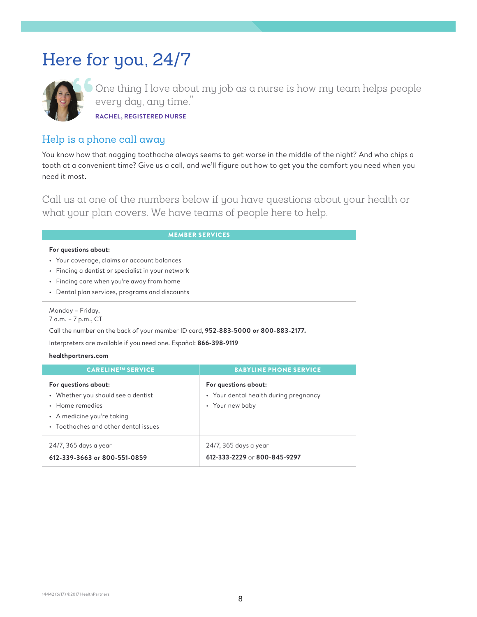### Here for you, 24/7



One thing I love about my job as a nurse is how my team helps people every day, any time." **RACHEL, REGISTERED NURSE**

### Help is a phone call away

You know how that nagging toothache always seems to get worse in the middle of the night? And who chips a tooth at a convenient time? Give us a call, and we'll figure out how to get you the comfort you need when you need it most.

Call us at one of the numbers below if you have questions about your health or what your plan covers. We have teams of people here to help.

#### MEMBER SERVICES

#### **For questions about:**

- Your coverage, claims or account balances
- Finding a dentist or specialist in your network
- Finding care when you're away from home
- Dental plan services, programs and discounts

#### Monday – Friday,

#### 7 a.m. – 7 p.m., CT

Call the number on the back of your member ID card, **952-883-5000 or 800-883-2177.**

Interpreters are available if you need one. Español: **866-398-9119**

#### **healthpartners.com**

| <b>CARELINESM SERVICE</b>                                                                                                                           | <b>BABYLINE PHONE SERVICE</b>                                                    |
|-----------------------------------------------------------------------------------------------------------------------------------------------------|----------------------------------------------------------------------------------|
| For questions about:<br>• Whether you should see a dentist<br>• Home remedies<br>• A medicine you're taking<br>• Toothaches and other dental issues | For questions about:<br>• Your dental health during pregnancy<br>• Your new baby |
| 24/7, 365 days a year<br>612-339-3663 or 800-551-0859                                                                                               | 24/7, 365 days a year<br>612-333-2229 or 800-845-9297                            |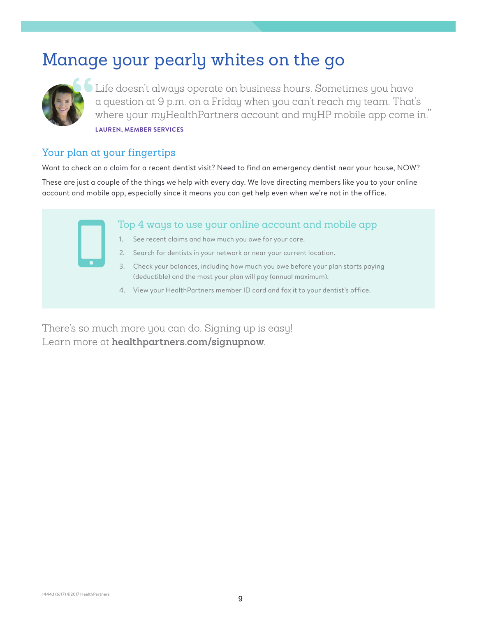### Manage your pearly whites on the go



Life doesn't always operate on business hours. Sometimes you have a question at 9 p.m. on a Friday when you can't reach my team. That's where your *my*HealthPartners account and myHP mobile app come in." **LAUREN, MEMBER SERVICES**

### Your plan at your fingertips

Want to check on a claim for a recent dentist visit? Need to find an emergency dentist near your house, NOW? These are just a couple of the things we help with every day. We love directing members like you to your online account and mobile app, especially since it means you can get help even when we're not in the office.

### Top 4 ways to use your online account and mobile app

- 1. See recent claims and how much you owe for your care.
- 2. Search for dentists in your network or near your current location.
- 3. Check your balances, including how much you owe before your plan starts paying (deductible) and the most your plan will pay (annual maximum).
- 4. View your HealthPartners member ID card and fax it to your dentist's office.

There's so much more you can do. Signing up is easy! Learn more at **healthpartners.com/signupnow**.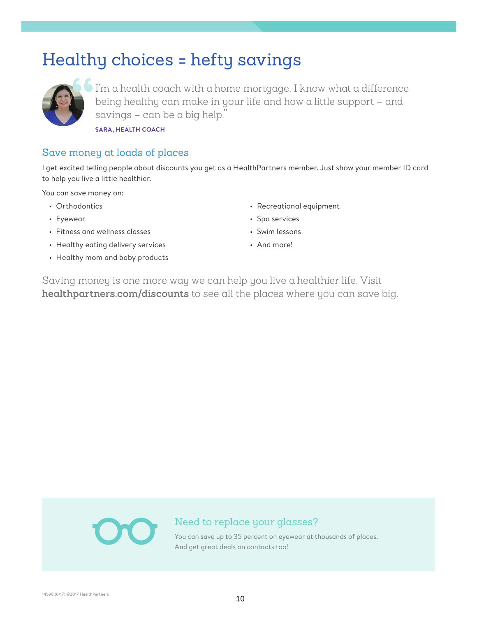## Healthy choices = hefty savings



I'm a health coach with a home mortgage. I know what a difference being healthy can make in your life and how a little support – and savings – can be a big help."

**SARA, HEALTH COACH**

### Save money at loads of places

I get excited telling people about discounts you get as a HealthPartners member. Just show your member ID card to help you live a little healthier.

You can save money on:

- Orthodontics
- Eyewear
- Fitness and wellness classes
- Healthy eating delivery services
- Healthy mom and baby products
- Recreational equipment
- Spa services
- Swim lessons
- And more!

Saving money is one more way we can help you live a healthier life. Visit **healthpartners.com/discounts** to see all the places where you can save big.

### Need to replace your glasses?

You can save up to 35 percent on eyewear at thousands of places. And get great deals on contacts too!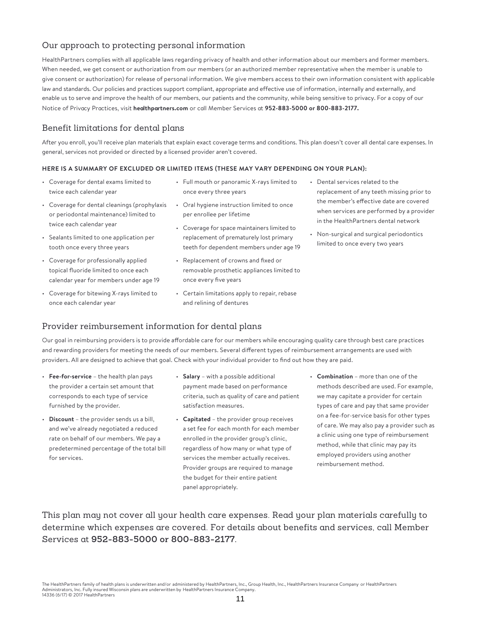### Our approach to protecting personal information

HealthPartners complies with all applicable laws regarding privacy of health and other information about our members and former members. When needed, we get consent or authorization from our members (or an authorized member representative when the member is unable to give consent or authorization) for release of personal information. We give members access to their own information consistent with applicable law and standards. Our policies and practices support compliant, appropriate and effective use of information, internally and externally, and enable us to serve and improve the health of our members, our patients and the community, while being sensitive to privacy. For a copy of our Notice of Privacy Practices, visit **healthpartners.com** or call Member Services at **952-883-5000 or 800-883-2177.**

### Benefit limitations for dental plans

After you enroll, you'll receive plan materials that explain exact coverage terms and conditions. This plan doesn't cover all dental care expenses. In general, services not provided or directed by a licensed provider aren't covered.

#### **HERE IS A SUMMARY OF EXCLUDED OR LIMITED ITEMS (THESE MAY VARY DEPENDING ON YOUR PLAN):**

- Coverage for dental exams limited to twice each calendar year
- Full mouth or panoramic X-rays limited to once every three years
- Coverage for dental cleanings (prophylaxis or periodontal maintenance) limited to twice each calendar year
- Sealants limited to one application per tooth once every three years
- Coverage for professionally applied topical fluoride limited to once each calendar year for members under age 19
- Coverage for bitewing X-rays limited to once each calendar year
- Oral hygiene instruction limited to once per enrollee per lifetime
- Coverage for space maintainers limited to replacement of prematurely lost primary teeth for dependent members under age 19
- Replacement of crowns and fixed or removable prosthetic appliances limited to once every five years
- Certain limitations apply to repair, rebase and relining of dentures
- Dental services related to the replacement of any teeth missing prior to the member's effective date are covered when services are performed by a provider in the HealthPartners dental network
- Non-surgical and surgical periodontics limited to once every two years

### Provider reimbursement information for dental plans

Our goal in reimbursing providers is to provide affordable care for our members while encouraging quality care through best care practices and rewarding providers for meeting the needs of our members. Several different types of reimbursement arrangements are used with providers. All are designed to achieve that goal. Check with your individual provider to find out how they are paid.

- **Fee-for-service**  the health plan pays the provider a certain set amount that corresponds to each type of service furnished by the provider.
- **Discount** the provider sends us a bill, and we've already negotiated a reduced rate on behalf of our members. We pay a predetermined percentage of the total bill for services.
- **Salary** with a possible additional payment made based on performance criteria, such as quality of care and patient satisfaction measures.
- **Capitated** the provider group receives a set fee for each month for each member enrolled in the provider group's clinic, regardless of how many or what type of services the member actually receives. Provider groups are required to manage the budget for their entire patient panel appropriately.
- **Combination** more than one of the methods described are used. For example, we may capitate a provider for certain types of care and pay that same provider on a fee-for-service basis for other types of care. We may also pay a provider such as a clinic using one type of reimbursement method, while that clinic may pay its employed providers using another reimbursement method.

This plan may not cover all your health care expenses. Read your plan materials carefully to determine which expenses are covered. For details about benefits and services, call Member Services at **952-883-5000 or 800-883-2177.**